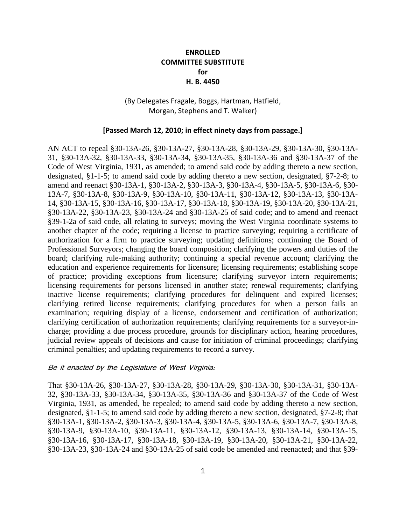### **ENROLLED COMMITTEE SUBSTITUTE for H. B. 4450**

#### (By Delegates Fragale, Boggs, Hartman, Hatfield, Morgan, Stephens and T. Walker)

#### **[Passed March 12, 2010; in effect ninety days from passage.]**

AN ACT to repeal §30-13A-26, §30-13A-27, §30-13A-28, §30-13A-29, §30-13A-30, §30-13A-31, §30-13A-32, §30-13A-33, §30-13A-34, §30-13A-35, §30-13A-36 and §30-13A-37 of the Code of West Virginia, 1931, as amended; to amend said code by adding thereto a new section, designated, §1-1-5; to amend said code by adding thereto a new section, designated, §7-2-8; to amend and reenact §30-13A-1, §30-13A-2, §30-13A-3, §30-13A-4, §30-13A-5, §30-13A-6, §30- 13A-7, §30-13A-8, §30-13A-9, §30-13A-10, §30-13A-11, §30-13A-12, §30-13A-13, §30-13A-14, §30-13A-15, §30-13A-16, §30-13A-17, §30-13A-18, §30-13A-19, §30-13A-20, §30-13A-21, §30-13A-22, §30-13A-23, §30-13A-24 and §30-13A-25 of said code; and to amend and reenact §39-1-2a of said code, all relating to surveys; moving the West Virginia coordinate systems to another chapter of the code; requiring a license to practice surveying; requiring a certificate of authorization for a firm to practice surveying; updating definitions; continuing the Board of Professional Surveyors; changing the board composition; clarifying the powers and duties of the board; clarifying rule-making authority; continuing a special revenue account; clarifying the education and experience requirements for licensure; licensing requirements; establishing scope of practice; providing exceptions from licensure; clarifying surveyor intern requirements; licensing requirements for persons licensed in another state; renewal requirements; clarifying inactive license requirements; clarifying procedures for delinquent and expired licenses; clarifying retired license requirements; clarifying procedures for when a person fails an examination; requiring display of a license, endorsement and certification of authorization; clarifying certification of authorization requirements; clarifying requirements for a surveyor-incharge; providing a due process procedure, grounds for disciplinary action, hearing procedures, judicial review appeals of decisions and cause for initiation of criminal proceedings; clarifying criminal penalties; and updating requirements to record a survey.

#### Be it enacted by the Legislature of West Virginia:

That §30-13A-26, §30-13A-27, §30-13A-28, §30-13A-29, §30-13A-30, §30-13A-31, §30-13A-32, §30-13A-33, §30-13A-34, §30-13A-35, §30-13A-36 and §30-13A-37 of the Code of West Virginia, 1931, as amended, be repealed; to amend said code by adding thereto a new section, designated, §1-1-5; to amend said code by adding thereto a new section, designated, §7-2-8; that §30-13A-1, §30-13A-2, §30-13A-3, §30-13A-4, §30-13A-5, §30-13A-6, §30-13A-7, §30-13A-8, §30-13A-9, §30-13A-10, §30-13A-11, §30-13A-12, §30-13A-13, §30-13A-14, §30-13A-15, §30-13A-16, §30-13A-17, §30-13A-18, §30-13A-19, §30-13A-20, §30-13A-21, §30-13A-22, §30-13A-23, §30-13A-24 and §30-13A-25 of said code be amended and reenacted; and that §39-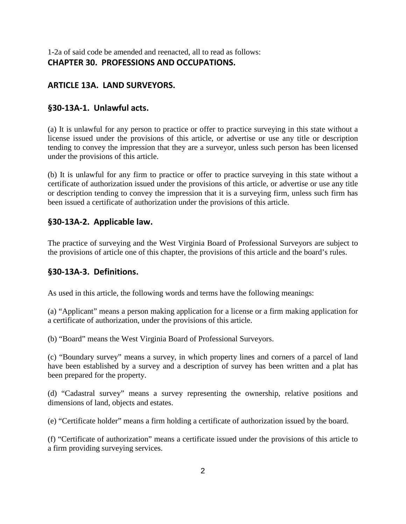1-2a of said code be amended and reenacted, all to read as follows: **CHAPTER 30. PROFESSIONS AND OCCUPATIONS.**

## **ARTICLE 13A. LAND SURVEYORS.**

## **§30-13A-1. Unlawful acts.**

(a) It is unlawful for any person to practice or offer to practice surveying in this state without a license issued under the provisions of this article, or advertise or use any title or description tending to convey the impression that they are a surveyor, unless such person has been licensed under the provisions of this article.

(b) It is unlawful for any firm to practice or offer to practice surveying in this state without a certificate of authorization issued under the provisions of this article, or advertise or use any title or description tending to convey the impression that it is a surveying firm, unless such firm has been issued a certificate of authorization under the provisions of this article.

## **§30-13A-2. Applicable law.**

The practice of surveying and the West Virginia Board of Professional Surveyors are subject to the provisions of article one of this chapter, the provisions of this article and the board's rules.

## **§30-13A-3. Definitions.**

As used in this article, the following words and terms have the following meanings:

(a) "Applicant" means a person making application for a license or a firm making application for a certificate of authorization, under the provisions of this article.

(b) "Board" means the West Virginia Board of Professional Surveyors.

(c) "Boundary survey" means a survey, in which property lines and corners of a parcel of land have been established by a survey and a description of survey has been written and a plat has been prepared for the property.

(d) "Cadastral survey" means a survey representing the ownership, relative positions and dimensions of land, objects and estates.

(e) "Certificate holder" means a firm holding a certificate of authorization issued by the board.

(f) "Certificate of authorization" means a certificate issued under the provisions of this article to a firm providing surveying services.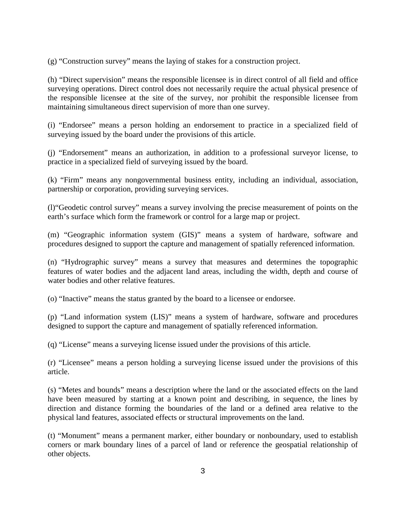(g) "Construction survey" means the laying of stakes for a construction project.

(h) "Direct supervision" means the responsible licensee is in direct control of all field and office surveying operations. Direct control does not necessarily require the actual physical presence of the responsible licensee at the site of the survey, nor prohibit the responsible licensee from maintaining simultaneous direct supervision of more than one survey.

(i) "Endorsee" means a person holding an endorsement to practice in a specialized field of surveying issued by the board under the provisions of this article.

(j) "Endorsement" means an authorization, in addition to a professional surveyor license, to practice in a specialized field of surveying issued by the board.

(k) "Firm" means any nongovernmental business entity, including an individual, association, partnership or corporation, providing surveying services.

(l)"Geodetic control survey" means a survey involving the precise measurement of points on the earth's surface which form the framework or control for a large map or project.

(m) "Geographic information system (GIS)" means a system of hardware, software and procedures designed to support the capture and management of spatially referenced information.

(n) "Hydrographic survey" means a survey that measures and determines the topographic features of water bodies and the adjacent land areas, including the width, depth and course of water bodies and other relative features.

(o) "Inactive" means the status granted by the board to a licensee or endorsee.

(p) "Land information system (LIS)" means a system of hardware, software and procedures designed to support the capture and management of spatially referenced information.

(q) "License" means a surveying license issued under the provisions of this article.

(r) "Licensee" means a person holding a surveying license issued under the provisions of this article.

(s) "Metes and bounds" means a description where the land or the associated effects on the land have been measured by starting at a known point and describing, in sequence, the lines by direction and distance forming the boundaries of the land or a defined area relative to the physical land features, associated effects or structural improvements on the land.

(t) "Monument" means a permanent marker, either boundary or nonboundary, used to establish corners or mark boundary lines of a parcel of land or reference the geospatial relationship of other objects.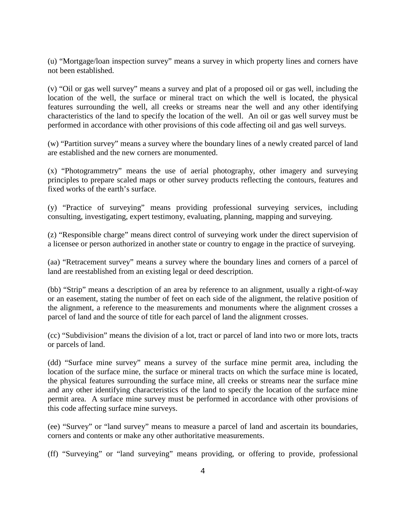(u) "Mortgage/loan inspection survey" means a survey in which property lines and corners have not been established.

(v) "Oil or gas well survey" means a survey and plat of a proposed oil or gas well, including the location of the well, the surface or mineral tract on which the well is located, the physical features surrounding the well, all creeks or streams near the well and any other identifying characteristics of the land to specify the location of the well. An oil or gas well survey must be performed in accordance with other provisions of this code affecting oil and gas well surveys.

(w) "Partition survey" means a survey where the boundary lines of a newly created parcel of land are established and the new corners are monumented.

(x) "Photogrammetry" means the use of aerial photography, other imagery and surveying principles to prepare scaled maps or other survey products reflecting the contours, features and fixed works of the earth's surface.

(y) "Practice of surveying" means providing professional surveying services, including consulting, investigating, expert testimony, evaluating, planning, mapping and surveying.

(z) "Responsible charge" means direct control of surveying work under the direct supervision of a licensee or person authorized in another state or country to engage in the practice of surveying.

(aa) "Retracement survey" means a survey where the boundary lines and corners of a parcel of land are reestablished from an existing legal or deed description.

(bb) "Strip" means a description of an area by reference to an alignment, usually a right-of-way or an easement, stating the number of feet on each side of the alignment, the relative position of the alignment, a reference to the measurements and monuments where the alignment crosses a parcel of land and the source of title for each parcel of land the alignment crosses.

(cc) "Subdivision" means the division of a lot, tract or parcel of land into two or more lots, tracts or parcels of land.

(dd) "Surface mine survey" means a survey of the surface mine permit area, including the location of the surface mine, the surface or mineral tracts on which the surface mine is located, the physical features surrounding the surface mine, all creeks or streams near the surface mine and any other identifying characteristics of the land to specify the location of the surface mine permit area. A surface mine survey must be performed in accordance with other provisions of this code affecting surface mine surveys.

(ee) "Survey" or "land survey" means to measure a parcel of land and ascertain its boundaries, corners and contents or make any other authoritative measurements.

(ff) "Surveying" or "land surveying" means providing, or offering to provide, professional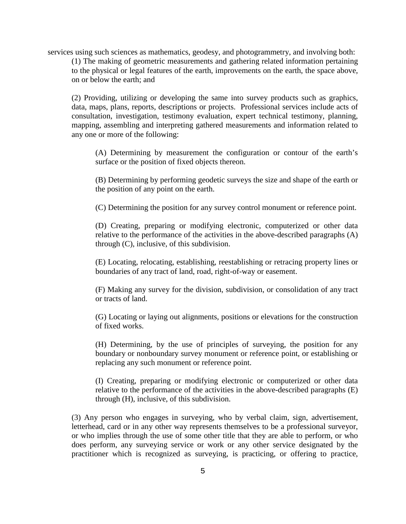services using such sciences as mathematics, geodesy, and photogrammetry, and involving both:

(1) The making of geometric measurements and gathering related information pertaining to the physical or legal features of the earth, improvements on the earth, the space above, on or below the earth; and

(2) Providing, utilizing or developing the same into survey products such as graphics, data, maps, plans, reports, descriptions or projects. Professional services include acts of consultation, investigation, testimony evaluation, expert technical testimony, planning, mapping, assembling and interpreting gathered measurements and information related to any one or more of the following:

(A) Determining by measurement the configuration or contour of the earth's surface or the position of fixed objects thereon.

(B) Determining by performing geodetic surveys the size and shape of the earth or the position of any point on the earth.

(C) Determining the position for any survey control monument or reference point.

(D) Creating, preparing or modifying electronic, computerized or other data relative to the performance of the activities in the above-described paragraphs (A) through (C), inclusive, of this subdivision.

(E) Locating, relocating, establishing, reestablishing or retracing property lines or boundaries of any tract of land, road, right-of-way or easement.

(F) Making any survey for the division, subdivision, or consolidation of any tract or tracts of land.

(G) Locating or laying out alignments, positions or elevations for the construction of fixed works.

(H) Determining, by the use of principles of surveying, the position for any boundary or nonboundary survey monument or reference point, or establishing or replacing any such monument or reference point.

(I) Creating, preparing or modifying electronic or computerized or other data relative to the performance of the activities in the above-described paragraphs (E) through (H), inclusive, of this subdivision.

(3) Any person who engages in surveying, who by verbal claim, sign, advertisement, letterhead, card or in any other way represents themselves to be a professional surveyor, or who implies through the use of some other title that they are able to perform, or who does perform, any surveying service or work or any other service designated by the practitioner which is recognized as surveying, is practicing, or offering to practice,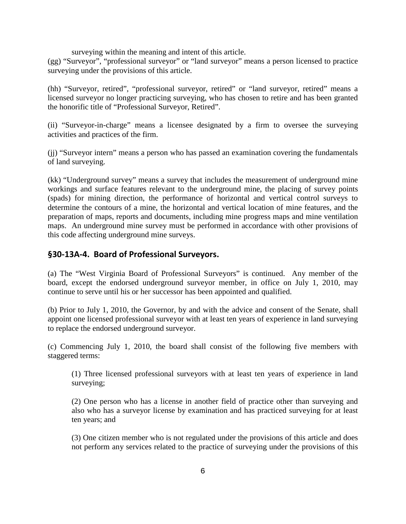surveying within the meaning and intent of this article.

(gg) "Surveyor", "professional surveyor" or "land surveyor" means a person licensed to practice surveying under the provisions of this article.

(hh) "Surveyor, retired", "professional surveyor, retired" or "land surveyor, retired" means a licensed surveyor no longer practicing surveying, who has chosen to retire and has been granted the honorific title of "Professional Surveyor, Retired".

(ii) "Surveyor-in-charge" means a licensee designated by a firm to oversee the surveying activities and practices of the firm.

(jj) "Surveyor intern" means a person who has passed an examination covering the fundamentals of land surveying.

(kk) "Underground survey" means a survey that includes the measurement of underground mine workings and surface features relevant to the underground mine, the placing of survey points (spads) for mining direction, the performance of horizontal and vertical control surveys to determine the contours of a mine, the horizontal and vertical location of mine features, and the preparation of maps, reports and documents, including mine progress maps and mine ventilation maps. An underground mine survey must be performed in accordance with other provisions of this code affecting underground mine surveys.

#### **§30-13A-4. Board of Professional Surveyors.**

(a) The "West Virginia Board of Professional Surveyors" is continued. Any member of the board, except the endorsed underground surveyor member, in office on July 1, 2010, may continue to serve until his or her successor has been appointed and qualified.

(b) Prior to July 1, 2010, the Governor, by and with the advice and consent of the Senate, shall appoint one licensed professional surveyor with at least ten years of experience in land surveying to replace the endorsed underground surveyor.

(c) Commencing July 1, 2010, the board shall consist of the following five members with staggered terms:

(1) Three licensed professional surveyors with at least ten years of experience in land surveying;

(2) One person who has a license in another field of practice other than surveying and also who has a surveyor license by examination and has practiced surveying for at least ten years; and

(3) One citizen member who is not regulated under the provisions of this article and does not perform any services related to the practice of surveying under the provisions of this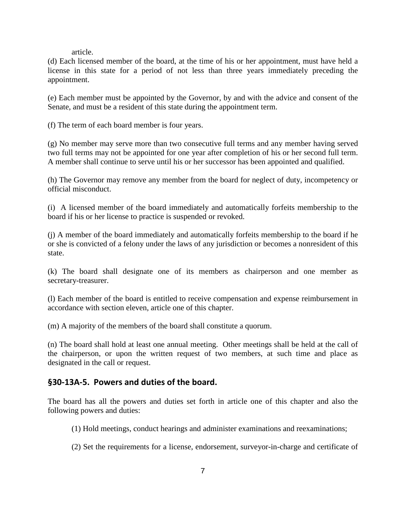article.

(d) Each licensed member of the board, at the time of his or her appointment, must have held a license in this state for a period of not less than three years immediately preceding the appointment.

(e) Each member must be appointed by the Governor, by and with the advice and consent of the Senate, and must be a resident of this state during the appointment term.

(f) The term of each board member is four years.

(g) No member may serve more than two consecutive full terms and any member having served two full terms may not be appointed for one year after completion of his or her second full term. A member shall continue to serve until his or her successor has been appointed and qualified.

(h) The Governor may remove any member from the board for neglect of duty, incompetency or official misconduct.

(i) A licensed member of the board immediately and automatically forfeits membership to the board if his or her license to practice is suspended or revoked.

(j) A member of the board immediately and automatically forfeits membership to the board if he or she is convicted of a felony under the laws of any jurisdiction or becomes a nonresident of this state.

(k) The board shall designate one of its members as chairperson and one member as secretary-treasurer.

(l) Each member of the board is entitled to receive compensation and expense reimbursement in accordance with section eleven, article one of this chapter.

(m) A majority of the members of the board shall constitute a quorum.

(n) The board shall hold at least one annual meeting. Other meetings shall be held at the call of the chairperson, or upon the written request of two members, at such time and place as designated in the call or request.

### **§30-13A-5. Powers and duties of the board.**

The board has all the powers and duties set forth in article one of this chapter and also the following powers and duties:

- (1) Hold meetings, conduct hearings and administer examinations and reexaminations;
- (2) Set the requirements for a license, endorsement, surveyor-in-charge and certificate of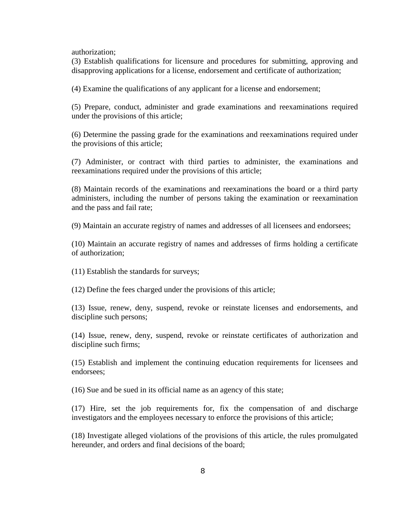authorization;

(3) Establish qualifications for licensure and procedures for submitting, approving and disapproving applications for a license, endorsement and certificate of authorization;

(4) Examine the qualifications of any applicant for a license and endorsement;

(5) Prepare, conduct, administer and grade examinations and reexaminations required under the provisions of this article;

(6) Determine the passing grade for the examinations and reexaminations required under the provisions of this article;

(7) Administer, or contract with third parties to administer, the examinations and reexaminations required under the provisions of this article;

(8) Maintain records of the examinations and reexaminations the board or a third party administers, including the number of persons taking the examination or reexamination and the pass and fail rate;

(9) Maintain an accurate registry of names and addresses of all licensees and endorsees;

(10) Maintain an accurate registry of names and addresses of firms holding a certificate of authorization;

(11) Establish the standards for surveys;

(12) Define the fees charged under the provisions of this article;

(13) Issue, renew, deny, suspend, revoke or reinstate licenses and endorsements, and discipline such persons;

(14) Issue, renew, deny, suspend, revoke or reinstate certificates of authorization and discipline such firms;

(15) Establish and implement the continuing education requirements for licensees and endorsees;

(16) Sue and be sued in its official name as an agency of this state;

(17) Hire, set the job requirements for, fix the compensation of and discharge investigators and the employees necessary to enforce the provisions of this article;

(18) Investigate alleged violations of the provisions of this article, the rules promulgated hereunder, and orders and final decisions of the board;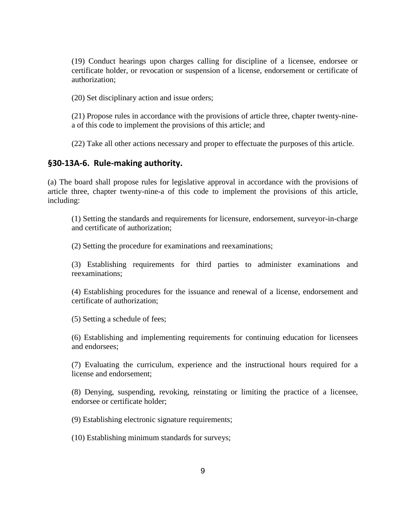(19) Conduct hearings upon charges calling for discipline of a licensee, endorsee or certificate holder, or revocation or suspension of a license, endorsement or certificate of authorization;

(20) Set disciplinary action and issue orders;

(21) Propose rules in accordance with the provisions of article three, chapter twenty-ninea of this code to implement the provisions of this article; and

(22) Take all other actions necessary and proper to effectuate the purposes of this article.

#### **§30-13A-6. Rule-making authority.**

(a) The board shall propose rules for legislative approval in accordance with the provisions of article three, chapter twenty-nine-a of this code to implement the provisions of this article, including:

(1) Setting the standards and requirements for licensure, endorsement, surveyor-in-charge and certificate of authorization;

(2) Setting the procedure for examinations and reexaminations;

(3) Establishing requirements for third parties to administer examinations and reexaminations;

(4) Establishing procedures for the issuance and renewal of a license, endorsement and certificate of authorization;

(5) Setting a schedule of fees;

(6) Establishing and implementing requirements for continuing education for licensees and endorsees;

(7) Evaluating the curriculum, experience and the instructional hours required for a license and endorsement;

(8) Denying, suspending, revoking, reinstating or limiting the practice of a licensee, endorsee or certificate holder;

(9) Establishing electronic signature requirements;

(10) Establishing minimum standards for surveys;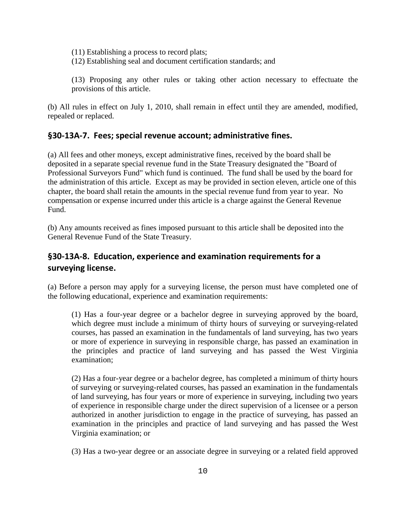- (11) Establishing a process to record plats;
- (12) Establishing seal and document certification standards; and

(13) Proposing any other rules or taking other action necessary to effectuate the provisions of this article.

(b) All rules in effect on July 1, 2010, shall remain in effect until they are amended, modified, repealed or replaced.

### **§30-13A-7. Fees; special revenue account; administrative fines.**

(a) All fees and other moneys, except administrative fines, received by the board shall be deposited in a separate special revenue fund in the State Treasury designated the "Board of Professional Surveyors Fund" which fund is continued. The fund shall be used by the board for the administration of this article. Except as may be provided in section eleven, article one of this chapter, the board shall retain the amounts in the special revenue fund from year to year. No compensation or expense incurred under this article is a charge against the General Revenue Fund.

(b) Any amounts received as fines imposed pursuant to this article shall be deposited into the General Revenue Fund of the State Treasury.

## **§30-13A-8. Education, experience and examination requirements for a surveying license.**

(a) Before a person may apply for a surveying license, the person must have completed one of the following educational, experience and examination requirements:

(1) Has a four-year degree or a bachelor degree in surveying approved by the board, which degree must include a minimum of thirty hours of surveying or surveying-related courses, has passed an examination in the fundamentals of land surveying, has two years or more of experience in surveying in responsible charge, has passed an examination in the principles and practice of land surveying and has passed the West Virginia examination;

(2) Has a four-year degree or a bachelor degree, has completed a minimum of thirty hours of surveying or surveying-related courses, has passed an examination in the fundamentals of land surveying, has four years or more of experience in surveying, including two years of experience in responsible charge under the direct supervision of a licensee or a person authorized in another jurisdiction to engage in the practice of surveying, has passed an examination in the principles and practice of land surveying and has passed the West Virginia examination; or

(3) Has a two-year degree or an associate degree in surveying or a related field approved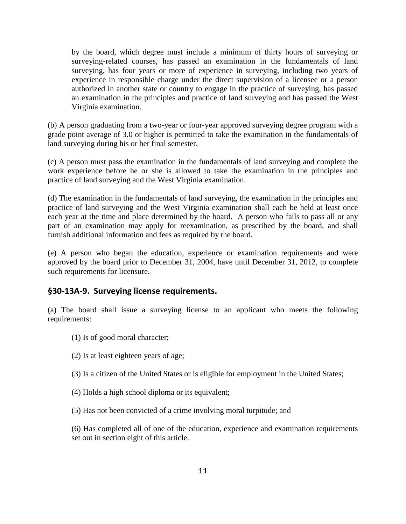by the board, which degree must include a minimum of thirty hours of surveying or surveying-related courses, has passed an examination in the fundamentals of land surveying, has four years or more of experience in surveying, including two years of experience in responsible charge under the direct supervision of a licensee or a person authorized in another state or country to engage in the practice of surveying, has passed an examination in the principles and practice of land surveying and has passed the West Virginia examination.

(b) A person graduating from a two-year or four-year approved surveying degree program with a grade point average of 3.0 or higher is permitted to take the examination in the fundamentals of land surveying during his or her final semester.

(c) A person must pass the examination in the fundamentals of land surveying and complete the work experience before he or she is allowed to take the examination in the principles and practice of land surveying and the West Virginia examination.

(d) The examination in the fundamentals of land surveying, the examination in the principles and practice of land surveying and the West Virginia examination shall each be held at least once each year at the time and place determined by the board. A person who fails to pass all or any part of an examination may apply for reexamination, as prescribed by the board, and shall furnish additional information and fees as required by the board.

(e) A person who began the education, experience or examination requirements and were approved by the board prior to December 31, 2004, have until December 31, 2012, to complete such requirements for licensure.

## **§30-13A-9. Surveying license requirements.**

(a) The board shall issue a surveying license to an applicant who meets the following requirements:

(1) Is of good moral character;

(2) Is at least eighteen years of age;

(3) Is a citizen of the United States or is eligible for employment in the United States;

(4) Holds a high school diploma or its equivalent;

(5) Has not been convicted of a crime involving moral turpitude; and

(6) Has completed all of one of the education, experience and examination requirements set out in section eight of this article.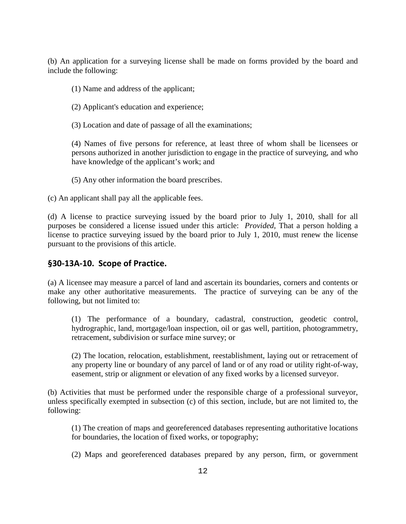(b) An application for a surveying license shall be made on forms provided by the board and include the following:

- (1) Name and address of the applicant;
- (2) Applicant's education and experience;
- (3) Location and date of passage of all the examinations;

(4) Names of five persons for reference, at least three of whom shall be licensees or persons authorized in another jurisdiction to engage in the practice of surveying, and who have knowledge of the applicant's work; and

(5) Any other information the board prescribes.

(c) An applicant shall pay all the applicable fees.

(d) A license to practice surveying issued by the board prior to July 1, 2010, shall for all purposes be considered a license issued under this article: *Provided*, That a person holding a license to practice surveying issued by the board prior to July 1, 2010, must renew the license pursuant to the provisions of this article.

#### **§30-13A-10. Scope of Practice.**

(a) A licensee may measure a parcel of land and ascertain its boundaries, corners and contents or make any other authoritative measurements. The practice of surveying can be any of the following, but not limited to:

(1) The performance of a boundary, cadastral, construction, geodetic control, hydrographic, land, mortgage/loan inspection, oil or gas well, partition, photogrammetry, retracement, subdivision or surface mine survey; or

(2) The location, relocation, establishment, reestablishment, laying out or retracement of any property line or boundary of any parcel of land or of any road or utility right-of-way, easement, strip or alignment or elevation of any fixed works by a licensed surveyor.

(b) Activities that must be performed under the responsible charge of a professional surveyor, unless specifically exempted in subsection (c) of this section, include, but are not limited to, the following:

(1) The creation of maps and georeferenced databases representing authoritative locations for boundaries, the location of fixed works, or topography;

(2) Maps and georeferenced databases prepared by any person, firm, or government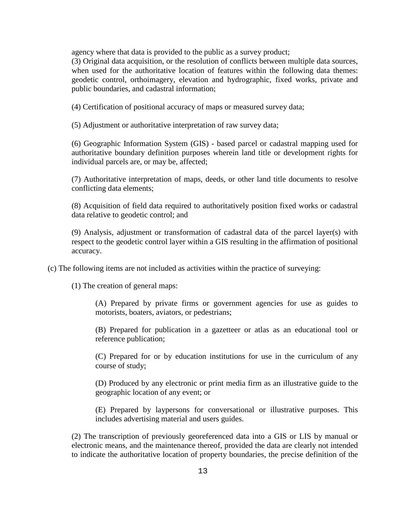agency where that data is provided to the public as a survey product;

(3) Original data acquisition, or the resolution of conflicts between multiple data sources, when used for the authoritative location of features within the following data themes: geodetic control, orthoimagery, elevation and hydrographic, fixed works, private and public boundaries, and cadastral information;

(4) Certification of positional accuracy of maps or measured survey data;

(5) Adjustment or authoritative interpretation of raw survey data;

(6) Geographic Information System (GIS) - based parcel or cadastral mapping used for authoritative boundary definition purposes wherein land title or development rights for individual parcels are, or may be, affected;

(7) Authoritative interpretation of maps, deeds, or other land title documents to resolve conflicting data elements;

(8) Acquisition of field data required to authoritatively position fixed works or cadastral data relative to geodetic control; and

(9) Analysis, adjustment or transformation of cadastral data of the parcel layer(s) with respect to the geodetic control layer within a GIS resulting in the affirmation of positional accuracy.

(c) The following items are not included as activities within the practice of surveying:

(1) The creation of general maps:

(A) Prepared by private firms or government agencies for use as guides to motorists, boaters, aviators, or pedestrians;

(B) Prepared for publication in a gazetteer or atlas as an educational tool or reference publication;

(C) Prepared for or by education institutions for use in the curriculum of any course of study;

(D) Produced by any electronic or print media firm as an illustrative guide to the geographic location of any event; or

(E) Prepared by laypersons for conversational or illustrative purposes. This includes advertising material and users guides.

(2) The transcription of previously georeferenced data into a GIS or LIS by manual or electronic means, and the maintenance thereof, provided the data are clearly not intended to indicate the authoritative location of property boundaries, the precise definition of the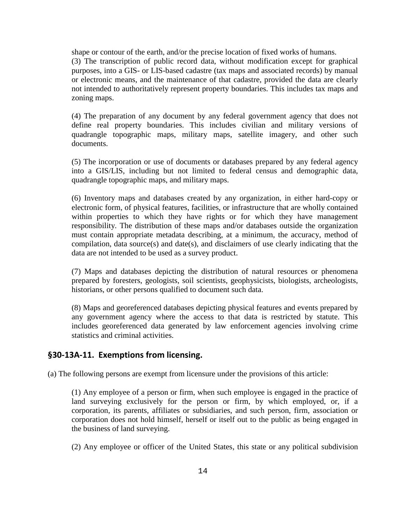shape or contour of the earth, and/or the precise location of fixed works of humans.

(3) The transcription of public record data, without modification except for graphical purposes, into a GIS- or LIS-based cadastre (tax maps and associated records) by manual or electronic means, and the maintenance of that cadastre, provided the data are clearly not intended to authoritatively represent property boundaries. This includes tax maps and zoning maps.

(4) The preparation of any document by any federal government agency that does not define real property boundaries. This includes civilian and military versions of quadrangle topographic maps, military maps, satellite imagery, and other such documents.

(5) The incorporation or use of documents or databases prepared by any federal agency into a GIS/LIS, including but not limited to federal census and demographic data, quadrangle topographic maps, and military maps.

(6) Inventory maps and databases created by any organization, in either hard-copy or electronic form, of physical features, facilities, or infrastructure that are wholly contained within properties to which they have rights or for which they have management responsibility. The distribution of these maps and/or databases outside the organization must contain appropriate metadata describing, at a minimum, the accuracy, method of compilation, data source(s) and date(s), and disclaimers of use clearly indicating that the data are not intended to be used as a survey product.

(7) Maps and databases depicting the distribution of natural resources or phenomena prepared by foresters, geologists, soil scientists, geophysicists, biologists, archeologists, historians, or other persons qualified to document such data.

(8) Maps and georeferenced databases depicting physical features and events prepared by any government agency where the access to that data is restricted by statute. This includes georeferenced data generated by law enforcement agencies involving crime statistics and criminal activities.

#### **§30-13A-11. Exemptions from licensing.**

(a) The following persons are exempt from licensure under the provisions of this article:

(1) Any employee of a person or firm, when such employee is engaged in the practice of land surveying exclusively for the person or firm, by which employed, or, if a corporation, its parents, affiliates or subsidiaries, and such person, firm, association or corporation does not hold himself, herself or itself out to the public as being engaged in the business of land surveying.

(2) Any employee or officer of the United States, this state or any political subdivision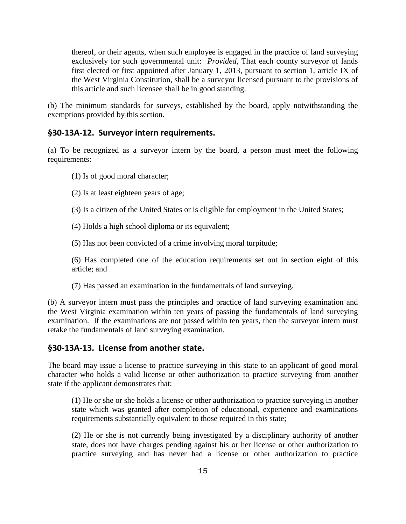thereof, or their agents, when such employee is engaged in the practice of land surveying exclusively for such governmental unit: *Provided,* That each county surveyor of lands first elected or first appointed after January 1, 2013, pursuant to section 1, article IX of the West Virginia Constitution, shall be a surveyor licensed pursuant to the provisions of this article and such licensee shall be in good standing.

(b) The minimum standards for surveys, established by the board, apply notwithstanding the exemptions provided by this section.

#### **§30-13A-12. Surveyor intern requirements.**

(a) To be recognized as a surveyor intern by the board, a person must meet the following requirements:

- (1) Is of good moral character;
- (2) Is at least eighteen years of age;
- (3) Is a citizen of the United States or is eligible for employment in the United States;
- (4) Holds a high school diploma or its equivalent;
- (5) Has not been convicted of a crime involving moral turpitude;

(6) Has completed one of the education requirements set out in section eight of this article; and

(7) Has passed an examination in the fundamentals of land surveying.

(b) A surveyor intern must pass the principles and practice of land surveying examination and the West Virginia examination within ten years of passing the fundamentals of land surveying examination. If the examinations are not passed within ten years, then the surveyor intern must retake the fundamentals of land surveying examination.

### **§30-13A-13. License from another state.**

The board may issue a license to practice surveying in this state to an applicant of good moral character who holds a valid license or other authorization to practice surveying from another state if the applicant demonstrates that:

(1) He or she or she holds a license or other authorization to practice surveying in another state which was granted after completion of educational, experience and examinations requirements substantially equivalent to those required in this state;

(2) He or she is not currently being investigated by a disciplinary authority of another state, does not have charges pending against his or her license or other authorization to practice surveying and has never had a license or other authorization to practice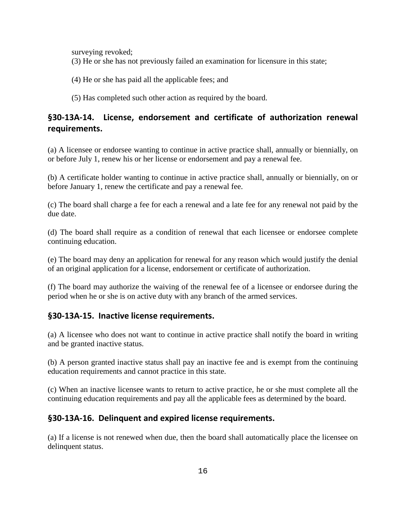surveying revoked;

(3) He or she has not previously failed an examination for licensure in this state;

(4) He or she has paid all the applicable fees; and

(5) Has completed such other action as required by the board.

# **§30-13A-14. License, endorsement and certificate of authorization renewal requirements.**

(a) A licensee or endorsee wanting to continue in active practice shall, annually or biennially, on or before July 1, renew his or her license or endorsement and pay a renewal fee.

(b) A certificate holder wanting to continue in active practice shall, annually or biennially, on or before January 1, renew the certificate and pay a renewal fee.

(c) The board shall charge a fee for each a renewal and a late fee for any renewal not paid by the due date.

(d) The board shall require as a condition of renewal that each licensee or endorsee complete continuing education.

(e) The board may deny an application for renewal for any reason which would justify the denial of an original application for a license, endorsement or certificate of authorization.

(f) The board may authorize the waiving of the renewal fee of a licensee or endorsee during the period when he or she is on active duty with any branch of the armed services.

## **§30-13A-15. Inactive license requirements.**

(a) A licensee who does not want to continue in active practice shall notify the board in writing and be granted inactive status.

(b) A person granted inactive status shall pay an inactive fee and is exempt from the continuing education requirements and cannot practice in this state.

(c) When an inactive licensee wants to return to active practice, he or she must complete all the continuing education requirements and pay all the applicable fees as determined by the board.

## **§30-13A-16. Delinquent and expired license requirements.**

(a) If a license is not renewed when due, then the board shall automatically place the licensee on delinquent status.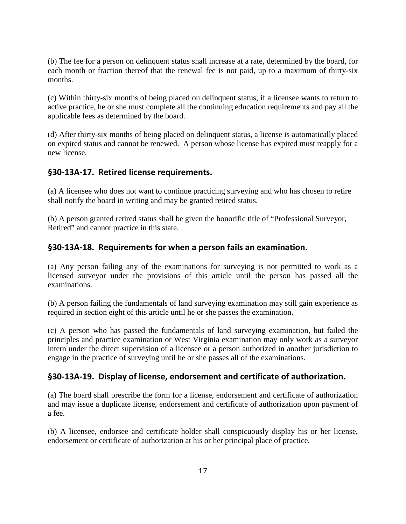(b) The fee for a person on delinquent status shall increase at a rate, determined by the board, for each month or fraction thereof that the renewal fee is not paid, up to a maximum of thirty-six months.

(c) Within thirty-six months of being placed on delinquent status, if a licensee wants to return to active practice, he or she must complete all the continuing education requirements and pay all the applicable fees as determined by the board.

(d) After thirty-six months of being placed on delinquent status, a license is automatically placed on expired status and cannot be renewed. A person whose license has expired must reapply for a new license.

## **§30-13A-17. Retired license requirements.**

(a) A licensee who does not want to continue practicing surveying and who has chosen to retire shall notify the board in writing and may be granted retired status.

(b) A person granted retired status shall be given the honorific title of "Professional Surveyor, Retired" and cannot practice in this state.

## **§30-13A-18. Requirements for when a person fails an examination.**

(a) Any person failing any of the examinations for surveying is not permitted to work as a licensed surveyor under the provisions of this article until the person has passed all the examinations.

(b) A person failing the fundamentals of land surveying examination may still gain experience as required in section eight of this article until he or she passes the examination.

(c) A person who has passed the fundamentals of land surveying examination, but failed the principles and practice examination or West Virginia examination may only work as a surveyor intern under the direct supervision of a licensee or a person authorized in another jurisdiction to engage in the practice of surveying until he or she passes all of the examinations.

## **§30-13A-19. Display of license, endorsement and certificate of authorization.**

(a) The board shall prescribe the form for a license, endorsement and certificate of authorization and may issue a duplicate license, endorsement and certificate of authorization upon payment of a fee.

(b) A licensee, endorsee and certificate holder shall conspicuously display his or her license, endorsement or certificate of authorization at his or her principal place of practice.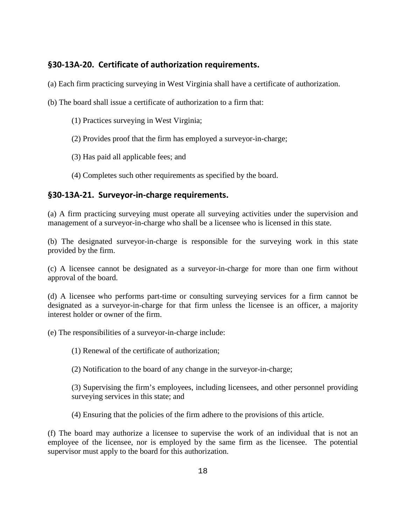## **§30-13A-20. Certificate of authorization requirements.**

(a) Each firm practicing surveying in West Virginia shall have a certificate of authorization.

- (b) The board shall issue a certificate of authorization to a firm that:
	- (1) Practices surveying in West Virginia;
	- (2) Provides proof that the firm has employed a surveyor-in-charge;
	- (3) Has paid all applicable fees; and
	- (4) Completes such other requirements as specified by the board.

## **§30-13A-21. Surveyor-in-charge requirements.**

(a) A firm practicing surveying must operate all surveying activities under the supervision and management of a surveyor-in-charge who shall be a licensee who is licensed in this state.

(b) The designated surveyor-in-charge is responsible for the surveying work in this state provided by the firm.

(c) A licensee cannot be designated as a surveyor-in-charge for more than one firm without approval of the board.

(d) A licensee who performs part-time or consulting surveying services for a firm cannot be designated as a surveyor-in-charge for that firm unless the licensee is an officer, a majority interest holder or owner of the firm.

(e) The responsibilities of a surveyor-in-charge include:

(1) Renewal of the certificate of authorization;

(2) Notification to the board of any change in the surveyor-in-charge;

(3) Supervising the firm's employees, including licensees, and other personnel providing surveying services in this state; and

(4) Ensuring that the policies of the firm adhere to the provisions of this article.

(f) The board may authorize a licensee to supervise the work of an individual that is not an employee of the licensee, nor is employed by the same firm as the licensee. The potential supervisor must apply to the board for this authorization.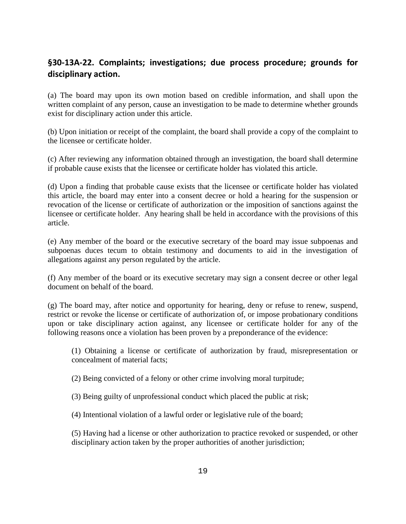# **§30-13A-22. Complaints; investigations; due process procedure; grounds for disciplinary action.**

(a) The board may upon its own motion based on credible information, and shall upon the written complaint of any person, cause an investigation to be made to determine whether grounds exist for disciplinary action under this article.

(b) Upon initiation or receipt of the complaint, the board shall provide a copy of the complaint to the licensee or certificate holder.

(c) After reviewing any information obtained through an investigation, the board shall determine if probable cause exists that the licensee or certificate holder has violated this article.

(d) Upon a finding that probable cause exists that the licensee or certificate holder has violated this article, the board may enter into a consent decree or hold a hearing for the suspension or revocation of the license or certificate of authorization or the imposition of sanctions against the licensee or certificate holder. Any hearing shall be held in accordance with the provisions of this article.

(e) Any member of the board or the executive secretary of the board may issue subpoenas and subpoenas duces tecum to obtain testimony and documents to aid in the investigation of allegations against any person regulated by the article.

(f) Any member of the board or its executive secretary may sign a consent decree or other legal document on behalf of the board.

(g) The board may, after notice and opportunity for hearing, deny or refuse to renew, suspend, restrict or revoke the license or certificate of authorization of, or impose probationary conditions upon or take disciplinary action against, any licensee or certificate holder for any of the following reasons once a violation has been proven by a preponderance of the evidence:

(1) Obtaining a license or certificate of authorization by fraud, misrepresentation or concealment of material facts;

(2) Being convicted of a felony or other crime involving moral turpitude;

(3) Being guilty of unprofessional conduct which placed the public at risk;

(4) Intentional violation of a lawful order or legislative rule of the board;

(5) Having had a license or other authorization to practice revoked or suspended, or other disciplinary action taken by the proper authorities of another jurisdiction;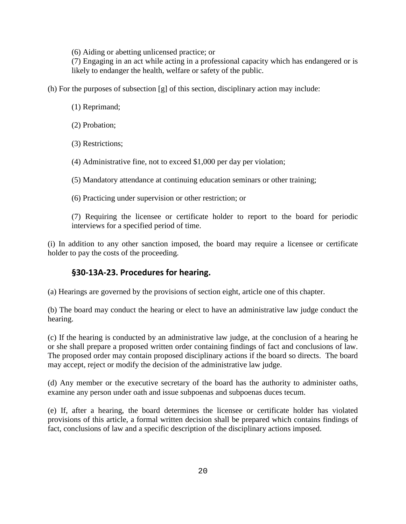(6) Aiding or abetting unlicensed practice; or

(7) Engaging in an act while acting in a professional capacity which has endangered or is likely to endanger the health, welfare or safety of the public.

(h) For the purposes of subsection [g] of this section, disciplinary action may include:

- (1) Reprimand;
- (2) Probation;
- (3) Restrictions;

(4) Administrative fine, not to exceed \$1,000 per day per violation;

(5) Mandatory attendance at continuing education seminars or other training;

(6) Practicing under supervision or other restriction; or

(7) Requiring the licensee or certificate holder to report to the board for periodic interviews for a specified period of time.

(i) In addition to any other sanction imposed, the board may require a licensee or certificate holder to pay the costs of the proceeding.

### **§30-13A-23. Procedures for hearing.**

(a) Hearings are governed by the provisions of section eight, article one of this chapter.

(b) The board may conduct the hearing or elect to have an administrative law judge conduct the hearing.

(c) If the hearing is conducted by an administrative law judge, at the conclusion of a hearing he or she shall prepare a proposed written order containing findings of fact and conclusions of law. The proposed order may contain proposed disciplinary actions if the board so directs. The board may accept, reject or modify the decision of the administrative law judge.

(d) Any member or the executive secretary of the board has the authority to administer oaths, examine any person under oath and issue subpoenas and subpoenas duces tecum.

(e) If, after a hearing, the board determines the licensee or certificate holder has violated provisions of this article, a formal written decision shall be prepared which contains findings of fact, conclusions of law and a specific description of the disciplinary actions imposed.